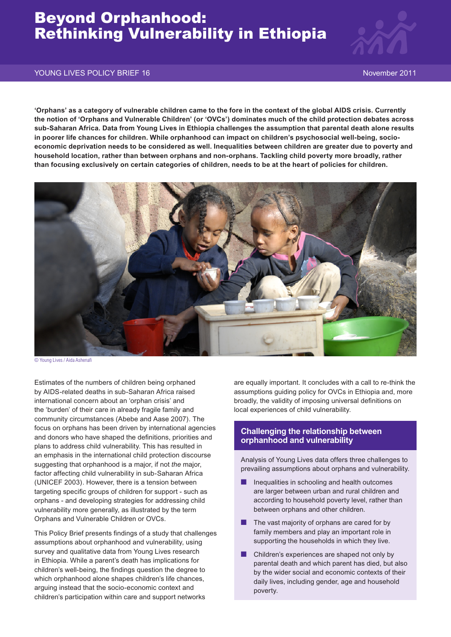# Beyond Orphanhood: Rethinking Vulnerability in Ethiopia



#### YOUNG LIVES POLICY BRIEF 16 November 2011

**'Orphans' as a category of vulnerable children came to the fore in the context of the global AIDS crisis. Currently the notion of 'Orphans and Vulnerable Children' (or 'OVCs') dominates much of the child protection debates across sub-Saharan Africa. Data from Young Lives in Ethiopia challenges the assumption that parental death alone results in poorer life chances for children. While orphanhood can impact on children's psychosocial well-being, socioeconomic deprivation needs to be considered as well. Inequalities between children are greater due to poverty and household location, rather than between orphans and non-orphans. Tackling child poverty more broadly, rather than focusing exclusively on certain categories of children, needs to be at the heart of policies for children.**



<sup>©</sup> Young Lives / Aida Ashenafi

Estimates of the numbers of children being orphaned by AIDS-related deaths in sub-Saharan Africa raised international concern about an 'orphan crisis' and the 'burden' of their care in already fragile family and community circumstances (Abebe and Aase 2007). The focus on orphans has been driven by international agencies and donors who have shaped the definitions, priorities and plans to address child vulnerability. This has resulted in an emphasis in the international child protection discourse suggesting that orphanhood is a major, if not *the* major, factor affecting child vulnerability in sub-Saharan Africa (UNICEF 2003). However, there is a tension between targeting specific groups of children for support - such as orphans - and developing strategies for addressing child vulnerability more generally, as illustrated by the term Orphans and Vulnerable Children or OVCs.

This Policy Brief presents findings of a study that challenges assumptions about orphanhood and vulnerability, using survey and qualitative data from Young Lives research in Ethiopia. While a parent's death has implications for children's well-being, the findings question the degree to which orphanhood alone shapes children's life chances, arguing instead that the socio-economic context and children's participation within care and support networks

are equally important. It concludes with a call to re-think the assumptions guiding policy for OVCs in Ethiopia and, more broadly, the validity of imposing universal definitions on local experiences of child vulnerability.

### **Challenging the relationship between orphanhood and vulnerability**

Analysis of Young Lives data offers three challenges to prevailing assumptions about orphans and vulnerability.

- Inequalities in schooling and health outcomes are larger between urban and rural children and according to household poverty level, rather than between orphans and other children.
- The vast majority of orphans are cared for by family members and play an important role in supporting the households in which they live.
- Children's experiences are shaped not only by parental death and which parent has died, but also by the wider social and economic contexts of their daily lives, including gender, age and household poverty.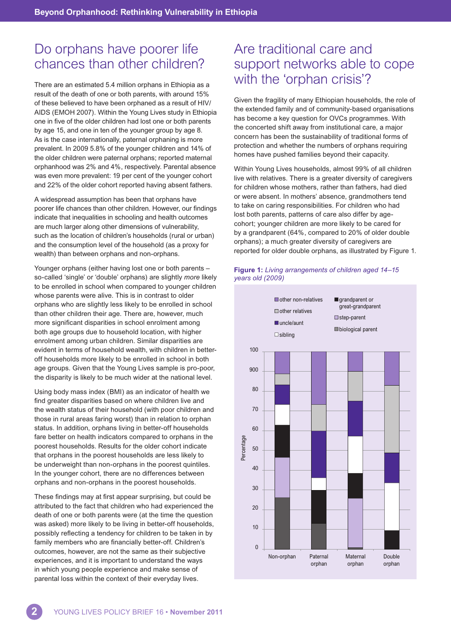# Do orphans have poorer life chances than other children?

There are an estimated 5.4 million orphans in Ethiopia as a result of the death of one or both parents, with around 15% of these believed to have been orphaned as a result of HIV/ AIDS (EMOH 2007). Within the Young Lives study in Ethiopia one in five of the older children had lost one or both parents by age 15, and one in ten of the younger group by age 8. As is the case internationally, paternal orphaning is more prevalent. In 2009 5.8% of the younger children and 14% of the older children were paternal orphans; reported maternal orphanhood was 2% and 4%, respectively. Parental absence was even more prevalent: 19 per cent of the younger cohort and 22% of the older cohort reported having absent fathers.

A widespread assumption has been that orphans have poorer life chances than other children. However, our findings indicate that inequalities in schooling and health outcomes are much larger along other dimensions of vulnerability, such as the location of children's households (rural or urban) and the consumption level of the household (as a proxy for wealth) than between orphans and non-orphans.

Younger orphans (either having lost one or both parents – so-called 'single' or 'double' orphans) are slightly *more* likely to be enrolled in school when compared to younger children whose parents were alive. This is in contrast to older orphans who are slightly less likely to be enrolled in school than other children their age. There are, however, much more significant disparities in school enrolment among both age groups due to household location, with higher enrolment among urban children. Similar disparities are evident in terms of household wealth, with children in betteroff households more likely to be enrolled in school in both age groups. Given that the Young Lives sample is pro-poor, the disparity is likely to be much wider at the national level.

Using body mass index (BMI) as an indicator of health we find greater disparities based on where children live and the wealth status of their household (with poor children and those in rural areas faring worst) than in relation to orphan status. In addition, orphans living in better-off households fare better on health indicators compared to orphans in the poorest households. Results for the older cohort indicate that orphans in the poorest households are less likely to be underweight than non-orphans in the poorest quintiles. In the younger cohort, there are no differences between orphans and non-orphans in the poorest households.

These findings may at first appear surprising, but could be attributed to the fact that children who had experienced the death of one or both parents were (at the time the question was asked) more likely to be living in better-off households, possibly reflecting a tendency for children to be taken in by family members who are financially better-off. Children's outcomes, however, are not the same as their subjective experiences, and it is important to understand the ways in which young people experience and make sense of parental loss within the context of their everyday lives.

## Are traditional care and support networks able to cope with the 'orphan crisis'?

Given the fragility of many Ethiopian households, the role of the extended family and of community-based organisations has become a key question for OVCs programmes. With the concerted shift away from institutional care, a major concern has been the sustainability of traditional forms of protection and whether the numbers of orphans requiring homes have pushed families beyond their capacity.

Within Young Lives households, almost 99% of all children live with relatives. There is a greater diversity of caregivers for children whose mothers, rather than fathers, had died or were absent. In mothers' absence, grandmothers tend to take on caring responsibilities. For children who had lost both parents, patterns of care also differ by agecohort; younger children are more likely to be cared for by a grandparent (64%, compared to 20% of older double orphans); a much greater diversity of caregivers are reported for older double orphans, as illustrated by Figure 1.

#### **Figure 1:** *Living arrangements of children aged 14–15 years old (2009)*

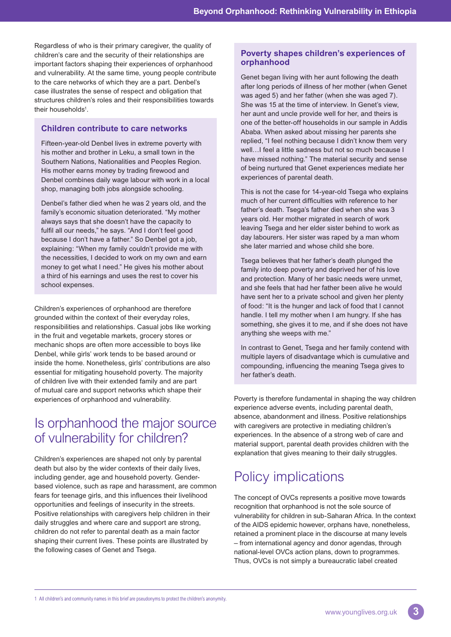Regardless of who is their primary caregiver, the quality of children's care and the security of their relationships are important factors shaping their experiences of orphanhood and vulnerability. At the same time, young people contribute to the care networks of which they are a part. Denbel's case illustrates the sense of respect and obligation that structures children's roles and their responsibilities towards their households<sup>1</sup>.

### **Children contribute to care networks**

Fifteen-year-old Denbel lives in extreme poverty with his mother and brother in Leku, a small town in the Southern Nations, Nationalities and Peoples Region. His mother earns money by trading firewood and Denbel combines daily wage labour with work in a local shop, managing both jobs alongside schooling.

Denbel's father died when he was 2 years old, and the family's economic situation deteriorated. "My mother always says that she doesn't have the capacity to fulfil all our needs," he says. "And I don't feel good because I don't have a father." So Denbel got a job, explaining: "When my family couldn't provide me with the necessities, I decided to work on my own and earn money to get what I need." He gives his mother about a third of his earnings and uses the rest to cover his school expenses.

Children's experiences of orphanhood are therefore grounded within the context of their everyday roles, responsibilities and relationships. Casual jobs like working in the fruit and vegetable markets, grocery stores or mechanic shops are often more accessible to boys like Denbel, while girls' work tends to be based around or inside the home. Nonetheless, girls' contributions are also essential for mitigating household poverty. The majority of children live with their extended family and are part of mutual care and support networks which shape their experiences of orphanhood and vulnerability.

# Is orphanhood the major source of vulnerability for children?

Children's experiences are shaped not only by parental death but also by the wider contexts of their daily lives, including gender, age and household poverty. Genderbased violence, such as rape and harassment, are common fears for teenage girls, and this influences their livelihood opportunities and feelings of insecurity in the streets. Positive relationships with caregivers help children in their daily struggles and where care and support are strong, children do not refer to parental death as a main factor shaping their current lives. These points are illustrated by the following cases of Genet and Tsega.

### **Poverty shapes children's experiences of orphanhood**

Genet began living with her aunt following the death after long periods of illness of her mother (when Genet was aged 5) and her father (when she was aged 7). She was 15 at the time of interview. In Genet's view, her aunt and uncle provide well for her, and theirs is one of the better-off households in our sample in Addis Ababa. When asked about missing her parents she replied, "I feel nothing because I didn't know them very well…I feel a little sadness but not so much because I have missed nothing." The material security and sense of being nurtured that Genet experiences mediate her experiences of parental death.

This is not the case for 14-year-old Tsega who explains much of her current difficulties with reference to her father's death. Tsega's father died when she was 3 years old. Her mother migrated in search of work leaving Tsega and her elder sister behind to work as day labourers. Her sister was raped by a man whom she later married and whose child she bore.

Tsega believes that her father's death plunged the family into deep poverty and deprived her of his love and protection. Many of her basic needs were unmet, and she feels that had her father been alive he would have sent her to a private school and given her plenty of food: "It is the hunger and lack of food that I cannot handle. I tell my mother when I am hungry. If she has something, she gives it to me, and if she does not have anything she weeps with me."

In contrast to Genet, Tsega and her family contend with multiple layers of disadvantage which is cumulative and compounding, influencing the meaning Tsega gives to her father's death.

Poverty is therefore fundamental in shaping the way children experience adverse events, including parental death, absence, abandonment and illness. Positive relationships with caregivers are protective in mediating children's experiences. In the absence of a strong web of care and material support, parental death provides children with the explanation that gives meaning to their daily struggles.

# Policy implications

The concept of OVCs represents a positive move towards recognition that orphanhood is not the sole source of vulnerability for children in sub-Saharan Africa. In the context of the AIDS epidemic however, orphans have, nonetheless, retained a prominent place in the discourse at many levels – from international agency and donor agendas, through national-level OVCs action plans, down to programmes. Thus, OVCs is not simply a bureaucratic label created